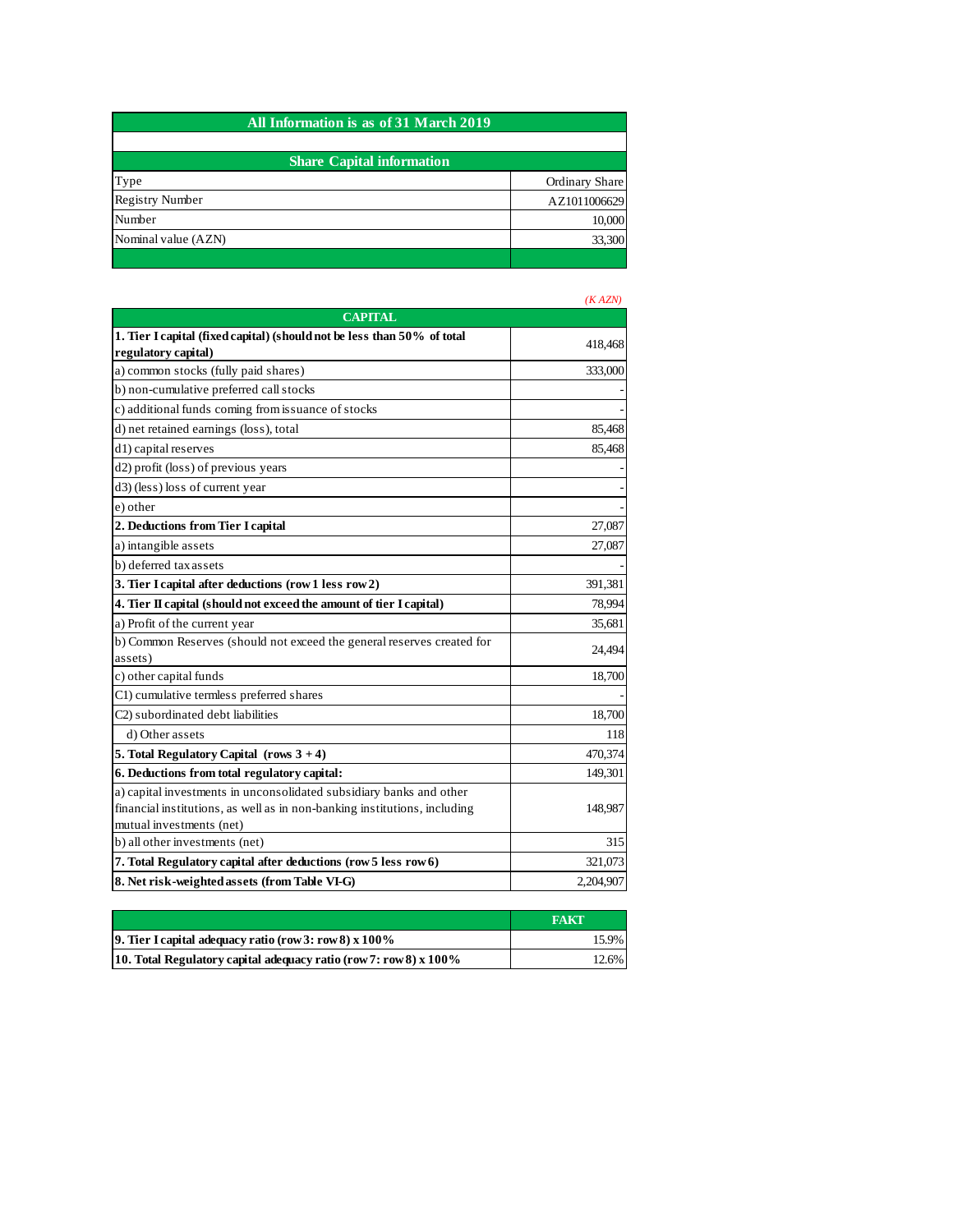| All Information is as of 31 March 2019 |                |  |
|----------------------------------------|----------------|--|
|                                        |                |  |
| <b>Share Capital information</b>       |                |  |
| Type                                   | Ordinary Share |  |
| <b>Registry Number</b>                 | AZ1011006629   |  |
| Number                                 | 10,000         |  |
| Nominal value (AZN)                    | 33,300         |  |
|                                        |                |  |

|                                                                                   | (KAZN)    |
|-----------------------------------------------------------------------------------|-----------|
| <b>CAPITAL</b>                                                                    |           |
| 1. Tier I capital (fixed capital) (should not be less than 50% of total           | 418,468   |
| regulatory capital)                                                               |           |
| a) common stocks (fully paid shares)                                              | 333,000   |
| b) non-cumulative preferred call stocks                                           |           |
| c) additional funds coming from issuance of stocks                                |           |
| d) net retained earnings (loss), total                                            | 85,468    |
| d1) capital reserves                                                              | 85,468    |
| d2) profit (loss) of previous years                                               |           |
| d3) (less) loss of current year                                                   |           |
| e) other                                                                          |           |
| 2. Deductions from Tier I capital                                                 | 27,087    |
| a) intangible assets                                                              | 27,087    |
| b) deferred tax assets                                                            |           |
| 3. Tier I capital after deductions (row 1 less row 2)                             | 391,381   |
| 4. Tier II capital (should not exceed the amount of tier I capital)               | 78,994    |
| a) Profit of the current year                                                     | 35,681    |
| b) Common Reserves (should not exceed the general reserves created for<br>assets) | 24,494    |
| c) other capital funds                                                            | 18,700    |
| C1) cumulative termless preferred shares                                          |           |
| C2) subordinated debt liabilities                                                 | 18,700    |
| d) Other assets                                                                   | 118       |
| 5. Total Regulatory Capital (rows $3 + 4$ )                                       | 470,374   |
| 6. Deductions from total regulatory capital:                                      | 149,301   |
| a) capital investments in unconsolidated subsidiary banks and other               |           |
| financial institutions, as well as in non-banking institutions, including         | 148,987   |
| mutual investments (net)                                                          |           |
| b) all other investments (net)                                                    | 315       |
| 7. Total Regulatory capital after deductions (row 5 less row 6)                   | 321,073   |
| 8. Net risk-weighted assets (from Table VI-G)                                     | 2,204,907 |

|                                                                      | <b>FAKT</b> |
|----------------------------------------------------------------------|-------------|
| 9. Tier I capital adequacy ratio (row 3: row 8) $x 100\%$            | 15.9%       |
| 10. Total Regulatory capital adequacy ratio (row 7: row 8) x $100\%$ | 12.6%       |

## *(K AZN)*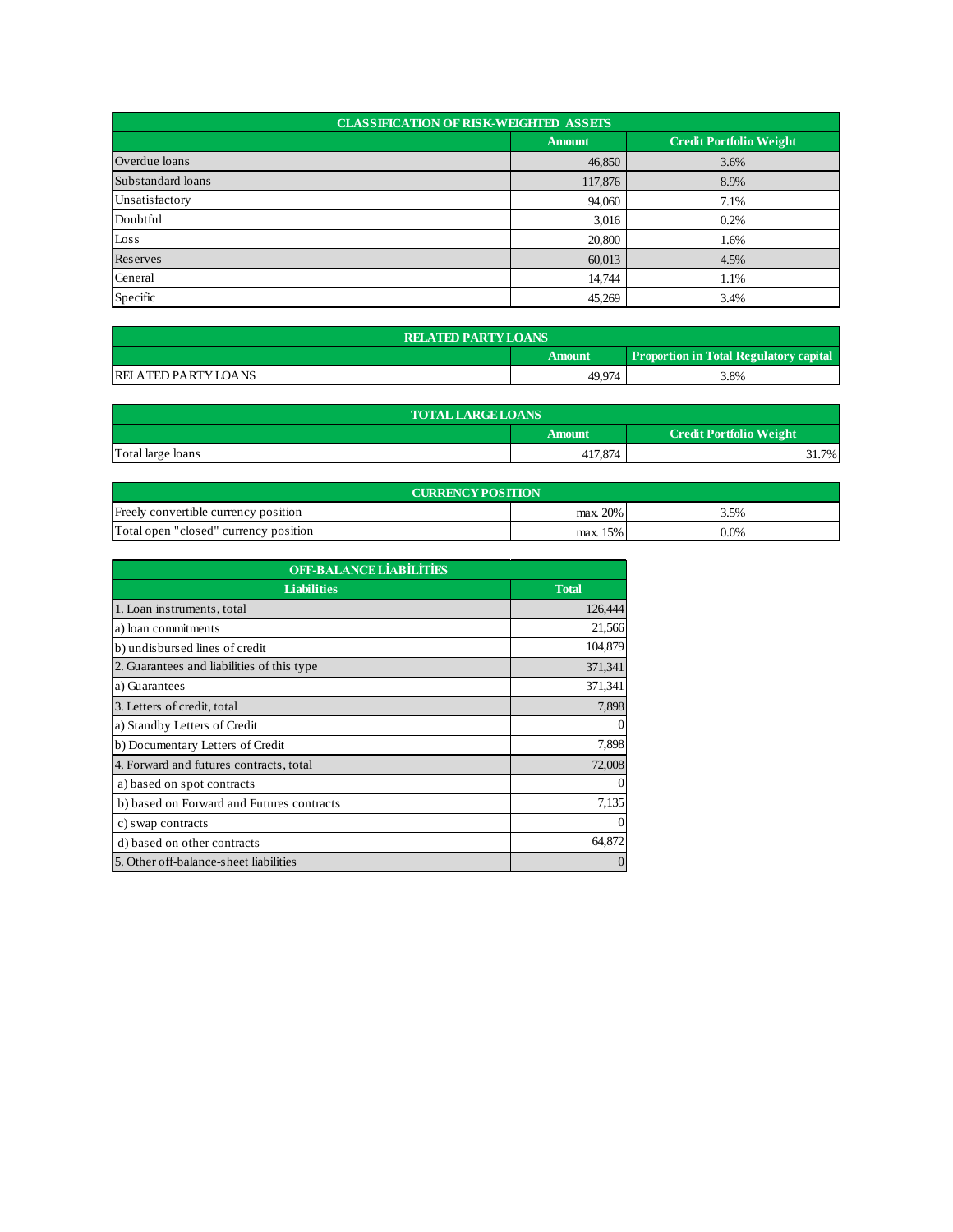| <b>CLASSIFICATION OF RISK-WEIGHTED ASSETS</b> |               |                                |  |
|-----------------------------------------------|---------------|--------------------------------|--|
|                                               | <b>Amount</b> | <b>Credit Portfolio Weight</b> |  |
| Overdue loans                                 | 46,850        | 3.6%                           |  |
| Substandard loans                             | 117,876       | 8.9%                           |  |
| Unsatisfactory                                | 94,060        | 7.1%                           |  |
| Doubtful                                      | 3,016         | 0.2%                           |  |
| Loss                                          | 20,800        | 1.6%                           |  |
| Reserves                                      | 60,013        | 4.5%                           |  |
| General                                       | 14,744        | 1.1%                           |  |
| Specific                                      | 45,269        | 3.4%                           |  |

| <b>RELATED PARTY LOANS</b>                              |        |      |  |  |
|---------------------------------------------------------|--------|------|--|--|
| <b>Proportion in Total Regulatory capital</b><br>Amount |        |      |  |  |
| <b>RELATED PARTY LOANS</b>                              | 49,974 | 3.8% |  |  |

| <b>TOTAL LARGE LOANS</b> |                                          |     |  |  |
|--------------------------|------------------------------------------|-----|--|--|
|                          | <b>Credit Portfolio Weight</b><br>Amount |     |  |  |
| Total large loans        | 417,874                                  | 7%. |  |  |

| <b>CURRENCY POSITION</b>              |          |         |  |  |
|---------------------------------------|----------|---------|--|--|
| Freely convertible currency position  | max. 20% | 3.5%    |  |  |
| Total open "closed" currency position | max. 15% | $0.0\%$ |  |  |

| <b>OFF-BALANCE LIABILITIES</b>             |              |  |
|--------------------------------------------|--------------|--|
| <b>Liabilities</b>                         | <b>Total</b> |  |
| 1. Loan instruments, total                 | 126,444      |  |
| a) loan commitments                        | 21,566       |  |
| b) undisbursed lines of credit             | 104,879      |  |
| 2. Guarantees and liabilities of this type | 371,341      |  |
| a) Guarantees                              | 371,341      |  |
| 3. Letters of credit, total                | 7,898        |  |
| a) Standby Letters of Credit               | 0            |  |
| b) Documentary Letters of Credit           | 7,898        |  |
| 4. Forward and futures contracts, total    | 72,008       |  |
| a) based on spot contracts                 | $\theta$     |  |
| b) based on Forward and Futures contracts  | 7,135        |  |
| c) swap contracts                          | $\theta$     |  |
| d) based on other contracts                | 64,872       |  |
| 5. Other off-balance-sheet liabilities     | $\Omega$     |  |